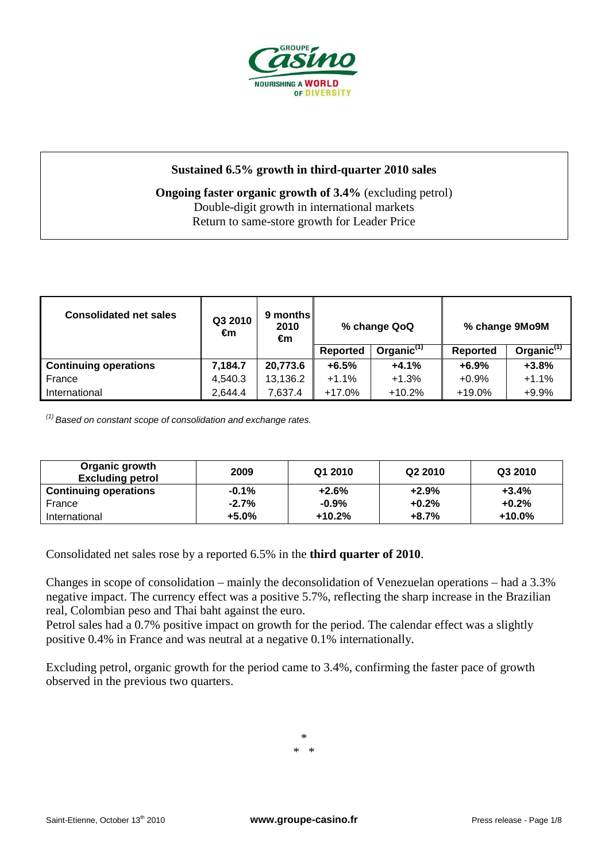

## **Sustained 6.5% growth in third-quarter 2010 sales**

## **Ongoing faster organic growth of 3.4%** (excluding petrol) Double-digit growth in international markets Return to same-store growth for Leader Price

| <b>Consolidated net sales</b> | Q3 2010<br>€m | 9 months I<br>2010<br>€m | % change QoQ    |                        | % change 9Mo9M  |               |  |
|-------------------------------|---------------|--------------------------|-----------------|------------------------|-----------------|---------------|--|
|                               |               |                          | <b>Reported</b> | Organic <sup>(1)</sup> | <b>Reported</b> | Organic $(1)$ |  |
| <b>Continuing operations</b>  | 7,184.7       | 20,773.6                 | $+6.5%$         | $+4.1%$                | $+6.9%$         | $+3.8%$       |  |
| France                        | 4,540.3       | 13,136.2                 | $+1.1%$         | $+1.3%$                | $+0.9%$         | $+1.1%$       |  |
| International                 | 2,644.4       | 7,637.4                  | $+17.0%$        | $+10.2%$               | $+19.0\%$       | $+9.9%$       |  |

 $(1)$  Based on constant scope of consolidation and exchange rates.

| Organic growth<br><b>Excluding petrol</b> | 2009    | Q1 2010  | Q <sub>2</sub> 2010 | Q3 2010   |
|-------------------------------------------|---------|----------|---------------------|-----------|
| <b>Continuing operations</b>              | $-0.1%$ | $+2.6%$  | $+2.9%$             | $+3.4%$   |
| France                                    | $-2.7%$ | $-0.9\%$ | $+0.2%$             | $+0.2%$   |
| International                             | $+5.0%$ | $+10.2%$ | $+8.7%$             | $+10.0\%$ |

Consolidated net sales rose by a reported 6.5% in the **third quarter of 2010**.

Changes in scope of consolidation – mainly the deconsolidation of Venezuelan operations – had a 3.3% negative impact. The currency effect was a positive 5.7%, reflecting the sharp increase in the Brazilian real, Colombian peso and Thai baht against the euro.

Petrol sales had a 0.7% positive impact on growth for the period. The calendar effect was a slightly positive 0.4% in France and was neutral at a negative 0.1% internationally.

Excluding petrol, organic growth for the period came to 3.4%, confirming the faster pace of growth observed in the previous two quarters.

> \* \* \*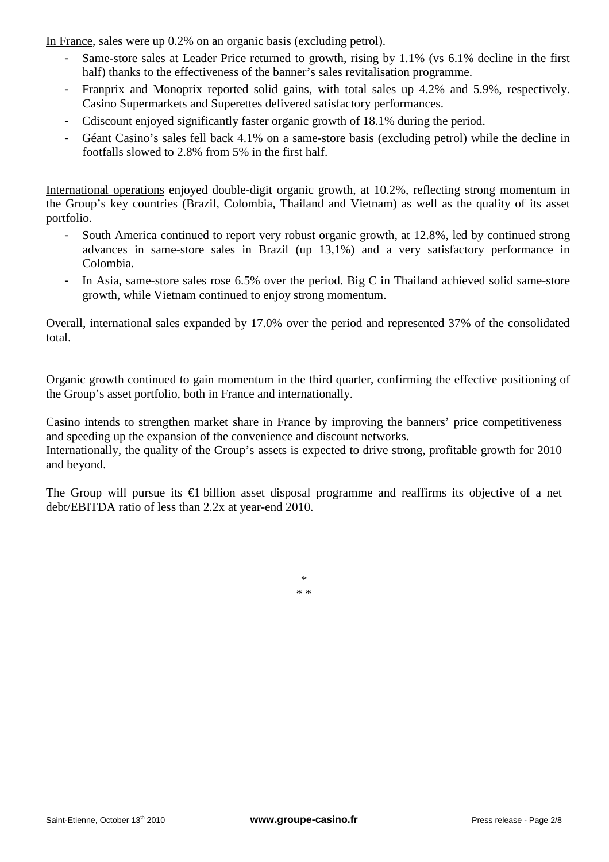In France, sales were up 0.2% on an organic basis (excluding petrol).

- Same-store sales at Leader Price returned to growth, rising by 1.1% (vs 6.1% decline in the first half) thanks to the effectiveness of the banner's sales revitalisation programme.
- Franprix and Monoprix reported solid gains, with total sales up 4.2% and 5.9%, respectively. Casino Supermarkets and Superettes delivered satisfactory performances.
- Cdiscount enjoyed significantly faster organic growth of 18.1% during the period.
- Géant Casino's sales fell back 4.1% on a same-store basis (excluding petrol) while the decline in footfalls slowed to 2.8% from 5% in the first half.

International operations enjoyed double-digit organic growth, at 10.2%, reflecting strong momentum in the Group's key countries (Brazil, Colombia, Thailand and Vietnam) as well as the quality of its asset portfolio.

- South America continued to report very robust organic growth, at 12.8%, led by continued strong advances in same-store sales in Brazil (up 13,1%) and a very satisfactory performance in Colombia.
- In Asia, same-store sales rose 6.5% over the period. Big C in Thailand achieved solid same-store growth, while Vietnam continued to enjoy strong momentum.

Overall, international sales expanded by 17.0% over the period and represented 37% of the consolidated total.

Organic growth continued to gain momentum in the third quarter, confirming the effective positioning of the Group's asset portfolio, both in France and internationally.

Casino intends to strengthen market share in France by improving the banners' price competitiveness and speeding up the expansion of the convenience and discount networks. Internationally, the quality of the Group's assets is expected to drive strong, profitable growth for 2010 and beyond.

The Group will pursue its €1 billion asset disposal programme and reaffirms its objective of a net debt/EBITDA ratio of less than 2.2x at year-end 2010.

> \* \* \*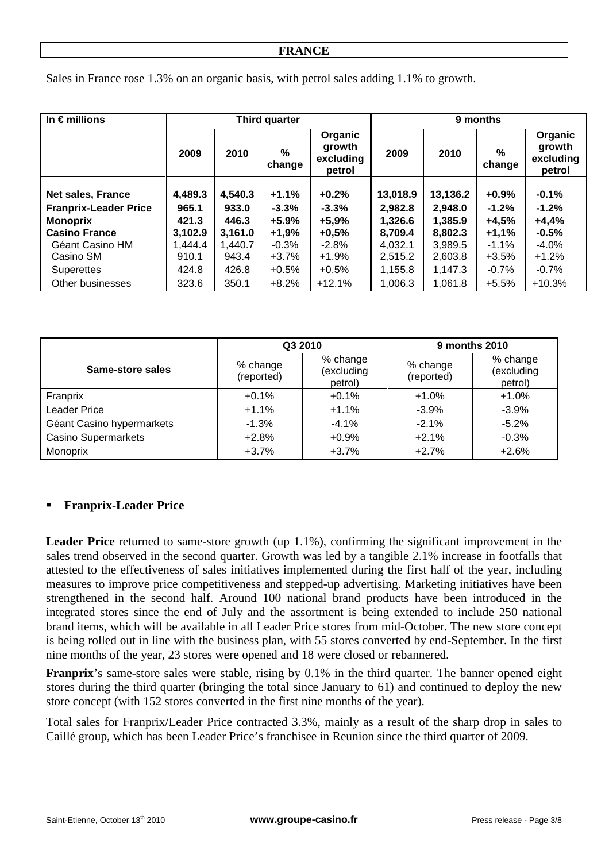Sales in France rose 1.3% on an organic basis, with petrol sales adding 1.1% to growth.

| In $\epsilon$ millions       | Third quarter |         |                | 9 months                                 |          |          |             |                                          |
|------------------------------|---------------|---------|----------------|------------------------------------------|----------|----------|-------------|------------------------------------------|
|                              | 2009          | 2010    | $\%$<br>change | Organic<br>growth<br>excluding<br>petrol | 2009     | 2010     | %<br>change | Organic<br>growth<br>excluding<br>petrol |
|                              |               |         |                |                                          |          |          |             |                                          |
| <b>Net sales, France</b>     | 4,489.3       | 4,540.3 | $+1.1%$        | $+0.2%$                                  | 13,018.9 | 13,136.2 | $+0.9\%$    | $-0.1%$                                  |
| <b>Franprix-Leader Price</b> | 965.1         | 933.0   | $-3.3%$        | $-3.3%$                                  | 2,982.8  | 2,948.0  | $-1.2%$     | $-1.2%$                                  |
| <b>Monoprix</b>              | 421.3         | 446.3   | $+5.9%$        | $+5,9%$                                  | 1,326.6  | 1,385.9  | $+4,5%$     | $+4,4%$                                  |
| <b>Casino France</b>         | 3,102.9       | 3,161.0 | $+1,9%$        | $+0,5%$                                  | 8.709.4  | 8.802.3  | $+1.1%$     | $-0.5%$                                  |
| Géant Casino HM              | 1,444.4       | 1,440.7 | $-0.3%$        | $-2.8%$                                  | 4.032.1  | 3,989.5  | $-1.1\%$    | $-4.0%$                                  |
| Casino SM                    | 910.1         | 943.4   | $+3.7%$        | $+1.9%$                                  | 2,515.2  | 2,603.8  | $+3.5%$     | $+1.2%$                                  |
| <b>Superettes</b>            | 424.8         | 426.8   | $+0.5%$        | $+0.5%$                                  | 1,155.8  | 1,147.3  | $-0.7%$     | $-0.7%$                                  |
| Other businesses             | 323.6         | 350.1   | $+8.2%$        | $+12.1%$                                 | 1,006.3  | 1,061.8  | $+5.5%$     | $+10.3%$                                 |

|                            |                        | Q3 2010                                                     | 9 months 2010 |                                   |  |
|----------------------------|------------------------|-------------------------------------------------------------|---------------|-----------------------------------|--|
| Same-store sales           | % change<br>(reported) | % change<br>% change<br>(excluding<br>(reported)<br>petrol) |               | % change<br>(excluding<br>petrol) |  |
| Franprix                   | $+0.1%$                | $+0.1%$                                                     | $+1.0%$       | $+1.0%$                           |  |
| <b>Leader Price</b>        | $+1.1%$                | $+1.1%$                                                     | $-3.9%$       | $-3.9%$                           |  |
| Géant Casino hypermarkets  | $-1.3%$                | $-4.1%$                                                     | $-2.1%$       | $-5.2%$                           |  |
| <b>Casino Supermarkets</b> | $+2.8%$                | $+0.9%$                                                     | $+2.1%$       | $-0.3%$                           |  |
| Monoprix                   | $+3.7%$                | $+3.7%$                                                     | $+2.7%$       | $+2.6%$                           |  |

## **Franprix-Leader Price**

**Leader Price** returned to same-store growth (up 1.1%), confirming the significant improvement in the sales trend observed in the second quarter. Growth was led by a tangible 2.1% increase in footfalls that attested to the effectiveness of sales initiatives implemented during the first half of the year, including measures to improve price competitiveness and stepped-up advertising. Marketing initiatives have been strengthened in the second half. Around 100 national brand products have been introduced in the integrated stores since the end of July and the assortment is being extended to include 250 national brand items, which will be available in all Leader Price stores from mid-October. The new store concept is being rolled out in line with the business plan, with 55 stores converted by end-September. In the first nine months of the year, 23 stores were opened and 18 were closed or rebannered.

**Franprix**'s same-store sales were stable, rising by 0.1% in the third quarter. The banner opened eight stores during the third quarter (bringing the total since January to 61) and continued to deploy the new store concept (with 152 stores converted in the first nine months of the year).

Total sales for Franprix/Leader Price contracted 3.3%, mainly as a result of the sharp drop in sales to Caillé group, which has been Leader Price's franchisee in Reunion since the third quarter of 2009.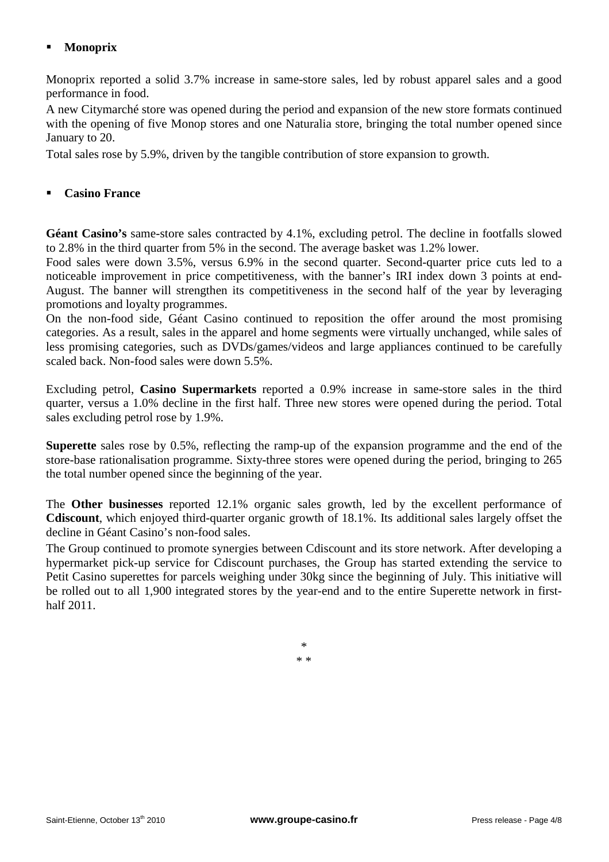# **Monoprix**

Monoprix reported a solid 3.7% increase in same-store sales, led by robust apparel sales and a good performance in food.

A new Citymarché store was opened during the period and expansion of the new store formats continued with the opening of five Monop stores and one Naturalia store, bringing the total number opened since January to 20.

Total sales rose by 5.9%, driven by the tangible contribution of store expansion to growth.

#### **Casino France**

**Géant Casino's** same-store sales contracted by 4.1%, excluding petrol. The decline in footfalls slowed to 2.8% in the third quarter from 5% in the second. The average basket was 1.2% lower.

Food sales were down 3.5%, versus 6.9% in the second quarter. Second-quarter price cuts led to a noticeable improvement in price competitiveness, with the banner's IRI index down 3 points at end-August. The banner will strengthen its competitiveness in the second half of the year by leveraging promotions and loyalty programmes.

On the non-food side, Géant Casino continued to reposition the offer around the most promising categories. As a result, sales in the apparel and home segments were virtually unchanged, while sales of less promising categories, such as DVDs/games/videos and large appliances continued to be carefully scaled back. Non-food sales were down 5.5%.

Excluding petrol, **Casino Supermarkets** reported a 0.9% increase in same-store sales in the third quarter, versus a 1.0% decline in the first half. Three new stores were opened during the period. Total sales excluding petrol rose by 1.9%.

**Superette** sales rose by 0.5%, reflecting the ramp-up of the expansion programme and the end of the store-base rationalisation programme. Sixty-three stores were opened during the period, bringing to 265 the total number opened since the beginning of the year.

The **Other businesses** reported 12.1% organic sales growth, led by the excellent performance of **Cdiscount**, which enjoyed third-quarter organic growth of 18.1%. Its additional sales largely offset the decline in Géant Casino's non-food sales.

The Group continued to promote synergies between Cdiscount and its store network. After developing a hypermarket pick-up service for Cdiscount purchases, the Group has started extending the service to Petit Casino superettes for parcels weighing under 30kg since the beginning of July. This initiative will be rolled out to all 1,900 integrated stores by the year-end and to the entire Superette network in firsthalf 2011.

> \* \* \*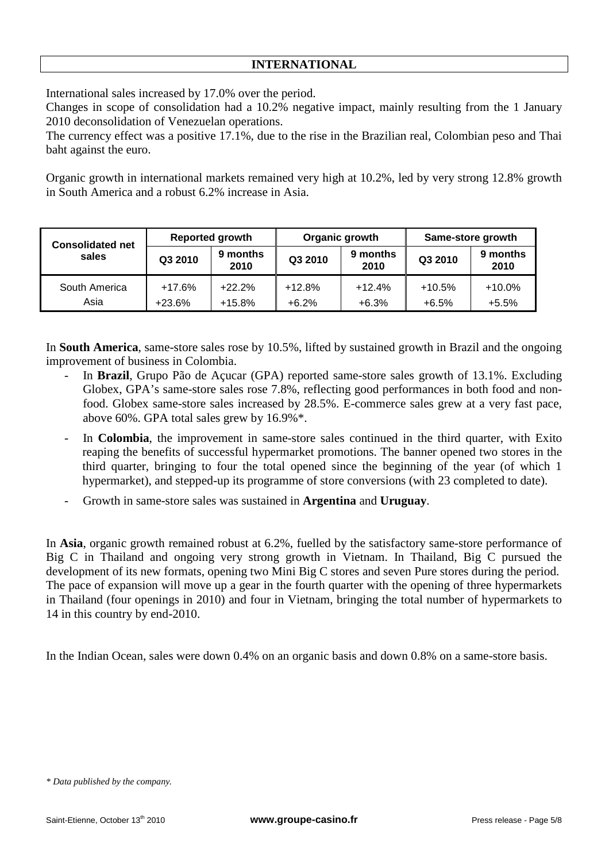International sales increased by 17.0% over the period.

Changes in scope of consolidation had a 10.2% negative impact, mainly resulting from the 1 January 2010 deconsolidation of Venezuelan operations.

The currency effect was a positive 17.1%, due to the rise in the Brazilian real, Colombian peso and Thai baht against the euro.

Organic growth in international markets remained very high at 10.2%, led by very strong 12.8% growth in South America and a robust 6.2% increase in Asia.

| <b>Consolidated net</b> |                    | <b>Reported growth</b> |                     | Organic growth      | Same-store growth   |                      |  |
|-------------------------|--------------------|------------------------|---------------------|---------------------|---------------------|----------------------|--|
| sales                   | Q3 2010            | 9 months<br>2010       | Q3 2010             | 9 months<br>2010    | Q3 2010             | 9 months<br>2010     |  |
| South America<br>Asia   | $+17.6%$<br>+23.6% | $+22.2%$<br>$+15.8%$   | $+12.8%$<br>$+6.2%$ | $+12.4%$<br>$+6.3%$ | $+10.5%$<br>$+6.5%$ | $+10.0\%$<br>$+5.5%$ |  |

In **South America**, same-store sales rose by 10.5%, lifted by sustained growth in Brazil and the ongoing improvement of business in Colombia.

- In **Brazil**, Grupo Pão de Acucar (GPA) reported same-store sales growth of 13.1%. Excluding Globex, GPA's same-store sales rose 7.8%, reflecting good performances in both food and nonfood. Globex same-store sales increased by 28.5%. E-commerce sales grew at a very fast pace, above 60%. GPA total sales grew by 16.9%\*.
- In **Colombia**, the improvement in same-store sales continued in the third quarter, with Exito reaping the benefits of successful hypermarket promotions. The banner opened two stores in the third quarter, bringing to four the total opened since the beginning of the year (of which 1 hypermarket), and stepped-up its programme of store conversions (with 23 completed to date).
- Growth in same-store sales was sustained in **Argentina** and **Uruguay**.

In **Asia**, organic growth remained robust at 6.2%, fuelled by the satisfactory same-store performance of Big C in Thailand and ongoing very strong growth in Vietnam. In Thailand, Big C pursued the development of its new formats, opening two Mini Big C stores and seven Pure stores during the period. The pace of expansion will move up a gear in the fourth quarter with the opening of three hypermarkets in Thailand (four openings in 2010) and four in Vietnam, bringing the total number of hypermarkets to 14 in this country by end-2010.

In the Indian Ocean, sales were down 0.4% on an organic basis and down 0.8% on a same-store basis.

*<sup>\*</sup> Data published by the company.*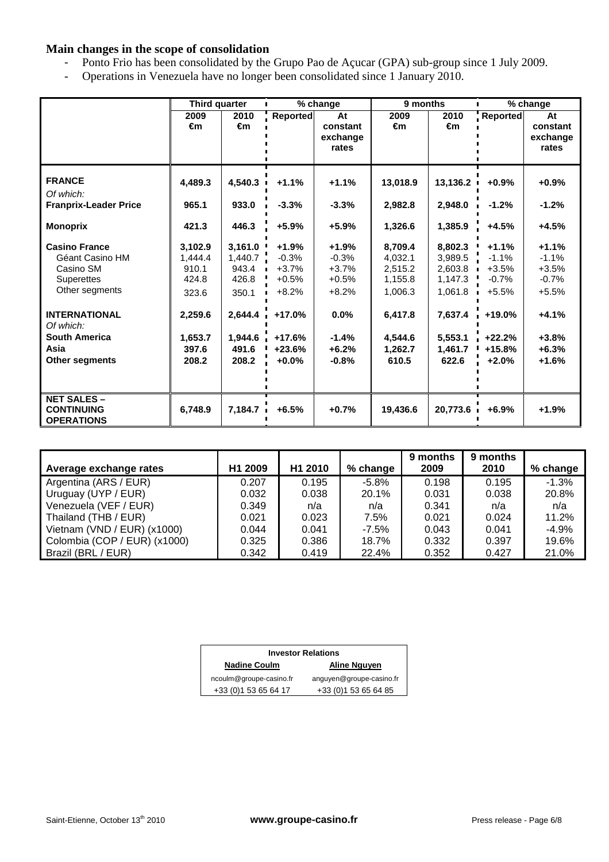### **Main changes in the scope of consolidation**

- Ponto Frio has been consolidated by the Grupo Pao de Açucar (GPA) sub-group since 1 July 2009.
- Operations in Venezuela have no longer been consolidated since 1 January 2010.

|                              | Third quarter |         |          | % change | 9 months |          | $\mathbf{L}$ | % change |
|------------------------------|---------------|---------|----------|----------|----------|----------|--------------|----------|
|                              | 2009          | 2010    | Reported | At       | 2009     | 2010     | Reported     | At       |
|                              | €m            | €m      |          | constant | €m       | €m       |              | constant |
|                              |               |         |          | exchange |          |          |              | exchange |
|                              |               |         |          | rates    |          |          |              | rates    |
|                              |               |         |          |          |          |          |              |          |
| <b>FRANCE</b>                | 4.489.3       | 4,540.3 | $+1.1%$  | $+1.1%$  | 13,018.9 | 13,136.2 | $+0.9%$      | $+0.9%$  |
| Of which:                    |               |         |          |          |          |          |              |          |
| <b>Franprix-Leader Price</b> | 965.1         | 933.0   | $-3.3%$  | $-3.3%$  | 2,982.8  | 2,948.0  | $-1.2%$      | $-1.2%$  |
| <b>Monoprix</b>              | 421.3         | 446.3   | $+5.9%$  | $+5.9%$  | 1,326.6  | 1,385.9  | $+4.5%$      | $+4.5%$  |
|                              |               |         |          |          |          |          |              |          |
| <b>Casino France</b>         | 3,102.9       | 3,161.0 | $+1.9%$  | $+1.9%$  | 8.709.4  | 8,802.3  | $+1.1%$      | $+1.1%$  |
| Géant Casino HM              | 1.444.4       | 1,440.7 | $-0.3%$  | $-0.3%$  | 4.032.1  | 3.989.5  | $-1.1%$      | $-1.1%$  |
| Casino SM                    | 910.1         | 943.4   | $+3.7%$  | $+3.7%$  | 2.515.2  | 2.603.8  | $+3.5%$      | $+3.5%$  |
| <b>Superettes</b>            | 424.8         | 426.8   | $+0.5%$  | $+0.5%$  | 1,155.8  | 1,147.3  | $-0.7%$      | $-0.7%$  |
| Other segments               | 323.6         | 350.1   | $+8.2%$  | $+8.2%$  | 1,006.3  | 1,061.8  | $+5.5%$      | $+5.5%$  |
| <b>INTERNATIONAL</b>         | 2,259.6       | 2.644.4 | $+17.0%$ | $0.0\%$  | 6,417.8  | 7.637.4  | $+19.0%$     | $+4.1%$  |
| Of which:                    |               |         |          |          |          |          |              |          |
| <b>South America</b>         | 1,653.7       | 1.944.6 | $+17.6%$ | $-1.4%$  | 4.544.6  | 5,553.1  | $+22.2%$     | $+3.8%$  |
| Asia                         | 397.6         | 491.6   | $+23.6%$ | $+6.2%$  | 1,262.7  | 1,461.7  | $+15.8%$     | $+6.3%$  |
| <b>Other segments</b>        | 208.2         | 208.2   | $+0.0%$  | $-0.8%$  | 610.5    | 622.6    | $+2.0%$      | $+1.6%$  |
|                              |               |         |          |          |          |          |              |          |
|                              |               |         |          |          |          |          |              |          |
| <b>NET SALES -</b>           |               |         |          |          |          |          |              |          |
| <b>CONTINUING</b>            | 6,748.9       | 7,184.7 | $+6.5%$  | $+0.7%$  | 19,436.6 | 20,773.6 | $+6.9%$      | $+1.9%$  |
| <b>OPERATIONS</b>            |               |         |          |          |          |          |              |          |

| Average exchange rates       | H1 2009 | H <sub>1</sub> 2010 | % change | 9 months<br>2009 | 9 months<br>2010 | % change |
|------------------------------|---------|---------------------|----------|------------------|------------------|----------|
| Argentina (ARS / EUR)        | 0.207   | 0.195               | $-5.8\%$ | 0.198            | 0.195            | $-1.3%$  |
| Uruguay (UYP / EUR)          | 0.032   | 0.038               | 20.1%    | 0.031            | 0.038            | 20.8%    |
| Venezuela (VEF / EUR)        | 0.349   | n/a                 | n/a      | 0.341            | n/a              | n/a      |
| Thailand (THB / EUR)         | 0.021   | 0.023               | 7.5%     | 0.021            | 0.024            | 11.2%    |
| Vietnam (VND / EUR) (x1000)  | 0.044   | 0.041               | $-7.5\%$ | 0.043            | 0.041            | $-4.9%$  |
| Colombia (COP / EUR) (x1000) | 0.325   | 0.386               | 18.7%    | 0.332            | 0.397            | 19.6%    |
| Brazil (BRL / EUR)           | 0.342   | 0.419               | 22.4%    | 0.352            | 0.427            | 21.0%    |

| <b>Investor Relations</b>           |                          |  |  |  |  |
|-------------------------------------|--------------------------|--|--|--|--|
| <b>Nadine Coulm</b><br>Aline Nguyen |                          |  |  |  |  |
| ncoulm@groupe-casino.fr             | anguyen@groupe-casino.fr |  |  |  |  |
| +33 (0) 1 53 65 64 17               | +33 (0) 1 53 65 64 85    |  |  |  |  |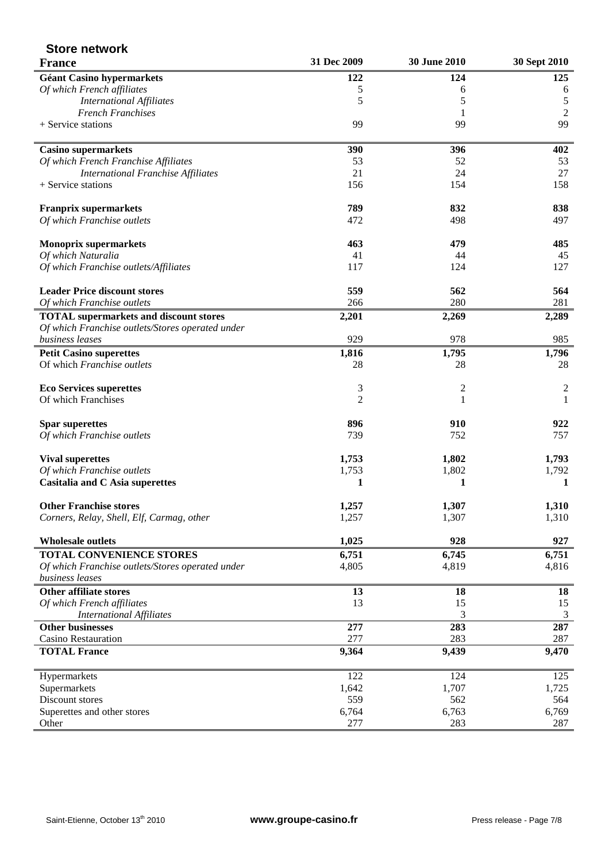| <b>Store network</b>                             |                |                |                |
|--------------------------------------------------|----------------|----------------|----------------|
| <b>France</b>                                    | 31 Dec 2009    | 30 June 2010   | 30 Sept 2010   |
| <b>Géant Casino hypermarkets</b>                 | 122            | 124            | 125            |
| Of which French affiliates                       | 5              | 6              | 6              |
| <b>International Affiliates</b>                  | 5              | 5              | 5              |
| <b>French Franchises</b>                         |                |                | $\overline{2}$ |
| + Service stations                               | 99             | 99             | 99             |
| <b>Casino supermarkets</b>                       | 390            | 396            | 402            |
| Of which French Franchise Affiliates             | 53             | 52             | 53             |
| <b>International Franchise Affiliates</b>        | 21             | 24             | 27             |
| + Service stations                               | 156            | 154            | 158            |
| <b>Franprix supermarkets</b>                     | 789            | 832            | 838            |
| Of which Franchise outlets                       | 472            | 498            | 497            |
| <b>Monoprix supermarkets</b>                     | 463            | 479            | 485            |
| Of which Naturalia                               | 41             | 44             | 45             |
| Of which Franchise outlets/Affiliates            | 117            | 124            | 127            |
| <b>Leader Price discount stores</b>              | 559            | 562            | 564            |
| Of which Franchise outlets                       | 266            | 280            | 281            |
| <b>TOTAL</b> supermarkets and discount stores    | 2,201          | 2,269          | 2,289          |
| Of which Franchise outlets/Stores operated under |                |                |                |
| business leases                                  | 929            | 978            | 985            |
| <b>Petit Casino superettes</b>                   | 1,816          | 1,795          | 1,796          |
| Of which Franchise outlets                       | 28             | 28             | 28             |
| <b>Eco Services superettes</b>                   | 3              | $\overline{c}$ | $\overline{2}$ |
| Of which Franchises                              | $\overline{2}$ | 1              | $\mathbf{1}$   |
| <b>Spar superettes</b>                           | 896            | 910            | 922            |
| Of which Franchise outlets                       | 739            | 752            | 757            |
| <b>Vival superettes</b>                          | 1,753          | 1,802          | 1,793          |
| Of which Franchise outlets                       | 1,753          | 1,802          | 1,792          |
| Casitalia and C Asia superettes                  | 1              | 1              | 1              |
| <b>Other Franchise stores</b>                    | 1,257          | 1,307          | 1,310          |
| Corners, Relay, Shell, Elf, Carmag, other        | 1,257          | 1,307          | 1,310          |
| <b>Wholesale outlets</b>                         | 1,025          | 928            | 927            |
| TOTAL CONVENIENCE STORES                         | 6,751          | 6,745          | 6,751          |
| Of which Franchise outlets/Stores operated under | 4,805          | 4,819          | 4,816          |
| business leases                                  |                |                |                |
| <b>Other affiliate stores</b>                    | 13             | 18             | 18             |
| Of which French affiliates                       | 13             | 15             | 15             |
| <b>International Affiliates</b>                  |                | 3              | 3              |
| Other businesses                                 | 277            | 283            | 287            |
| Casino Restauration                              | 277            | 283            | 287            |
| <b>TOTAL France</b>                              | 9,364          | 9,439          | 9,470          |
| Hypermarkets                                     | 122            | 124            | 125            |
| Supermarkets                                     | 1,642          | 1,707          | 1,725          |
| Discount stores                                  | 559            | 562            | 564            |
| Superettes and other stores                      | 6,764          | 6,763          | 6,769          |
| Other                                            | 277            | 283            | 287            |